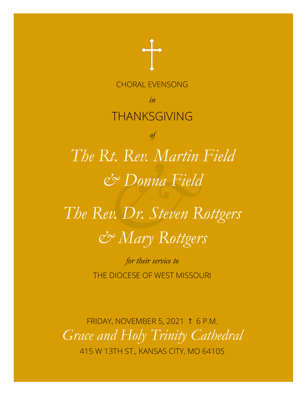

415 W 13TH ST., KANSAS CITY, MO 64105 *Grace and Holy Trinity Cathedral* FRIDAY, NOVEMBER 5, 2021 † 6 P.M.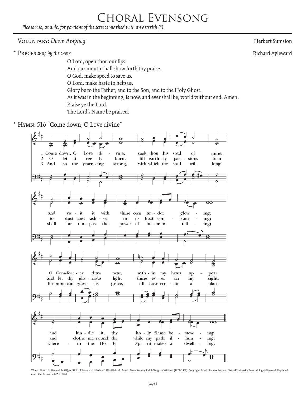# Choral Evensong

*Please rise, as able, for portions of the service marked with an asterisk (\*).*

#### **VOLUNTARY:** *Down Ampney* Herbert Sumsion

\* Preces *sung by the choir* Richard Ayleward

 O Lord, open thou our lips. And our mouth shall show forth thy praise. O God, make speed to save us. O Lord, make haste to help us. Glory be to the Father, and to the Son, and to the Holy Ghost. As it was in the beginning, is now, and ever shall be, world without end. Amen. Praise ye the Lord. The Lord's Name be praised.

\* Hymn: 516 "Come down, O Love divine"



Words: Bianco da Siena (d. 1434?); tr. Richard Frederick Littledale (1833-1890), alt. Music: Down Ampney, Ralph Vaughan Williams (1872-1958). Copyright: Music: By permission of Oxford University Press. All Rights Reserved. under OneLicense.net #A-710278.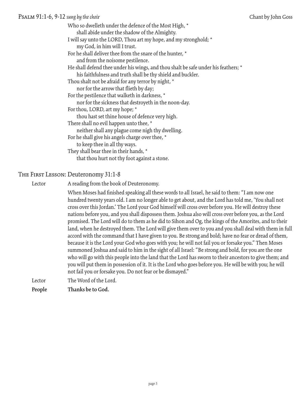#### Psalm 91:1-6, 9-12 *sung by the choir* Chant by John Goss

Who so dwelleth under the defence of the Most High, \* shall abide under the shadow of the Almighty. I will say unto the LORD, Thou art my hope, and my stronghold; \* my God, in him will I trust. For he shall deliver thee from the snare of the hunter, \* and from the noisome pestilence. He shall defend thee under his wings, and thou shalt be safe under his feathers; \* his faithfulness and truth shall be thy shield and buckler. Thou shalt not be afraid for any terror by night, \* nor for the arrow that flieth by day; For the pestilence that walketh in darkness, \* nor for the sickness that destroyeth in the noon-day. For thou, LORD, art my hope; \* thou hast set thine house of defence very high. There shall no evil happen unto thee, \* neither shall any plague come nigh thy dwelling. For he shall give his angels charge over thee, \* to keep thee in all thy ways. They shall bear thee in their hands, \* that thou hurt not thy foot against a stone.

#### The First Lesson: Deuteronomy 31:1-8

Lector A reading from the book of Deuteronomy.

 When Moses had finished speaking all these words to all Israel, he said to them: "I am now one hundred twenty years old. I am no longer able to get about, and the Lord has told me, 'You shall not cross over this Jordan.' The Lord your God himself will cross over before you. He will destroy these nations before you, and you shall dispossess them. Joshua also will cross over before you, as the Lord promised. The Lord will do to them as he did to Sihon and Og, the kings of the Amorites, and to their land, when he destroyed them. The Lord will give them over to you and you shall deal with them in full accord with the command that I have given to you. Be strong and bold; have no fear or dread of them, because it is the Lord your God who goes with you; he will not fail you or forsake you." Then Moses summoned Joshua and said to him in the sight of all Israel: "Be strong and bold, for you are the one who will go with this people into the land that the Lord has sworn to their ancestors to give them; and you will put them in possession of it. It is the Lord who goes before you. He will be with you; he will not fail you or forsake you. Do not fear or be dismayed."

LectorThe Word of the Lord.

**People Thanks be to God.**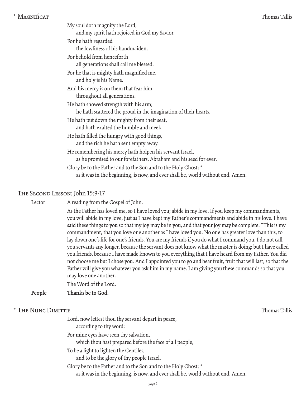| * Magnificat |
|--------------|
|              |

| * MAGNIficat |                                                                                                          | Thomas Tallis |
|--------------|----------------------------------------------------------------------------------------------------------|---------------|
|              | My soul doth magnify the Lord,<br>and my spirit hath rejoiced in God my Savior.                          |               |
|              | For he hath regarded<br>the lowliness of his handmaiden.                                                 |               |
|              | For behold from henceforth<br>all generations shall call me blessed.                                     |               |
|              | For he that is mighty hath magnified me,<br>and holy is his Name.                                        |               |
|              | And his mercy is on them that fear him<br>throughout all generations.                                    |               |
|              | He hath showed strength with his arm;<br>he hath scattered the proud in the imagination of their hearts. |               |

- He hath put down the mighty from their seat, and hath exalted the humble and meek.
- He hath filled the hungry with good things, and the rich he hath sent empty away.
- He remembering his mercy hath holpen his servant Israel, as he promised to our forefathers, Abraham and his seed for ever.
- Glory be to the Father and to the Son and to the Holy Ghost; \* as it was in the beginning, is now, and ever shall be, world without end. Amen.

#### The Second Lesson: John 15:9-17

Lector A reading from the Gospel of John.

 As the Father has loved me, so I have loved you; abide in my love. If you keep my commandments, you will abide in my love, just as I have kept my Father's commandments and abide in his love. I have said these things to you so that my joy may be in you, and that your joy may be complete. "This is my commandment, that you love one another as I have loved you. No one has greater love than this, to lay down one's life for one's friends. You are my friends if you do what I command you. I do not call you servants any longer, because the servant does not know what the master is doing; but I have called you friends, because I have made known to you everything that I have heard from my Father. You did not choose me but I chose you. And I appointed you to go and bear fruit, fruit that will last, so that the Father will give you whatever you ask him in my name. I am giving you these commands so that you may love one another.

The Word of the Lord.

**People Thanks be to God.**

#### \* THE NUNC DIMITTIS TAILLET THE NUNC DIMITTIS

| Lord, now lettest thou thy servant depart in peace,<br>according to thy word;                                                                     |  |
|---------------------------------------------------------------------------------------------------------------------------------------------------|--|
| For mine eyes have seen thy salvation,<br>which thou hast prepared before the face of all people,                                                 |  |
| To be a light to lighten the Gentiles,<br>and to be the glory of thy people Israel.                                                               |  |
| Glory be to the Father and to the Son and to the Holy Ghost; *<br>as it was in the beginning, is now, and ever shall be, world without end. Amen. |  |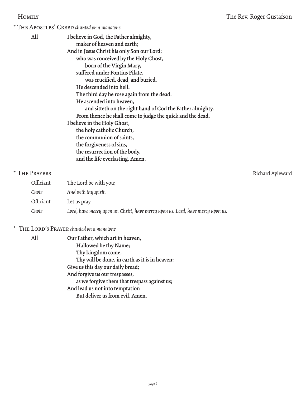\* The Apostles' Creed *chanted on a monotone*

| All           | I believe in God, the Father almighty,                     |                  |
|---------------|------------------------------------------------------------|------------------|
|               | maker of heaven and earth;                                 |                  |
|               | And in Jesus Christ his only Son our Lord;                 |                  |
|               | who was conceived by the Holy Ghost,                       |                  |
|               | born of the Virgin Mary,                                   |                  |
|               | suffered under Pontius Pilate,                             |                  |
|               | was crucified, dead, and buried.                           |                  |
|               | He descended into hell.                                    |                  |
|               | The third day he rose again from the dead.                 |                  |
|               | He ascended into heaven,                                   |                  |
|               | and sitteth on the right hand of God the Father almighty.  |                  |
|               | From thence he shall come to judge the quick and the dead. |                  |
|               | I believe in the Holy Ghost,                               |                  |
|               | the holy catholic Church,                                  |                  |
|               | the communion of saints,                                   |                  |
|               | the forgiveness of sins,                                   |                  |
|               | the resurrection of the body,                              |                  |
|               | and the life everlasting. Amen.                            |                  |
| * THE PRAYERS |                                                            | Richard Ayleward |

# Officiant The Lord be with you; *Choir And with thy spirit.* Officiant Let us pray. *Choir Lord, have mercy upon us. Christ, have mercy upon us. Lord, have mercy upon us.*

## \* The Lord's Prayer *chanted on a monotone*

| All | Our Father, which art in heaven,               |
|-----|------------------------------------------------|
|     | Hallowed be thy Name;                          |
|     | Thy kingdom come,                              |
|     | Thy will be done, in earth as it is in heaven: |
|     | Give us this day our daily bread;              |
|     | And forgive us our trespasses,                 |
|     | as we forgive them that trespass against us;   |
|     | And lead us not into temptation                |
|     | But deliver us from evil. Amen.                |
|     |                                                |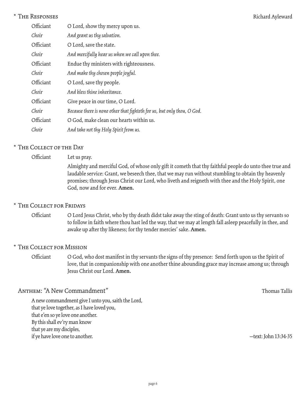#### \* THE RESPONSES Richard Ayleward

| Officiant | O Lord, show thy mercy upon us.                                         |
|-----------|-------------------------------------------------------------------------|
| Choir     | And grant us thy salvation.                                             |
| Officiant | O Lord, save the state.                                                 |
| Choir     | And mercifully hear us when we call upon thee.                          |
| Officiant | Endue thy ministers with righteousness.                                 |
| Choir     | And make thy chosen people joyful.                                      |
| Officiant | O Lord, save thy people.                                                |
| Choir     | And bless thine inheritance.                                            |
| Officiant | Give peace in our time, O Lord.                                         |
| Choir     | Because there is none other that fighteth for us, but only thou, O God. |
| Officiant | O God, make clean our hearts within us.                                 |
| Choir     | And take not thy Holy Spirit from us.                                   |

#### \* The Collect of the Day

| Officiant | Let us pray.                                                                                                                                                                                                                                                                                                                                        |
|-----------|-----------------------------------------------------------------------------------------------------------------------------------------------------------------------------------------------------------------------------------------------------------------------------------------------------------------------------------------------------|
|           | Almighty and merciful God, of whose only gift it cometh that thy faithful people do unto thee true and<br>laudable service: Grant, we beseech thee, that we may run without stumbling to obtain thy heavenly<br>promises; through Jesus Christ our Lord, who liveth and reigneth with thee and the Holy Spirit, one<br>God, now and for ever. Amen. |

#### \* The Collect for Fridays

Officiant O Lord Jesus Christ, who by thy death didst take away the sting of death: Grant unto us thy servants so to follow in faith where thou hast led the way, that we may at length fall asleep peacefully in thee, and awake up after thy likeness; for thy tender mercies' sake. **Amen.**

#### \* The Collect for Mission

Officiant O God, who dost manifest in thy servants the signs of thy presence: Send forth upon us the Spirit of love, that in companionship with one another thine abounding grace may increase among us; through Jesus Christ our Lord. **Amen.**

#### ANTHEM: "A New Commandment" Thomas Tallis

A new commandment give I unto you, saith the Lord, that ye love together, as I have loved you, that e'en so ye love one another. By this shall ev'ry man know that ye are my disciples, if ye have love one to another. — text: John 13:34-35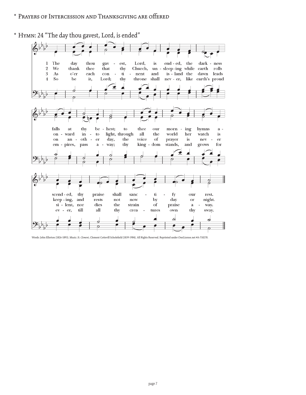#### \* Prayers of Intercession and Thanksgiving are offered

\* Hymn: 24 "The day thou gavest, Lord, is ended"



Words: John Ellerton (1826-1893). Music: *St. Clement*, Clement Cottevill Scholefield (1839-1904). All Rights Reserved. Reprinted under OneLicense.net #A-710278.